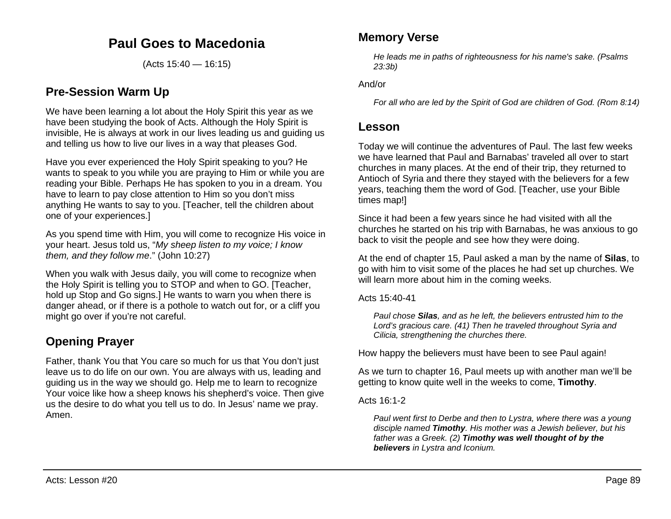## **Paul Goes to Macedonia**

(Acts 15:40 — 16:15)

## **Pre-Session Warm Up**

We have been learning a lot about the Holy Spirit this year as we have been studying the book of Acts. Although the Holy Spirit is invisible, He is always at work in our lives leading us and guiding us and telling us how to live our lives in a way that pleases God.

Have you ever experienced the Holy Spirit speaking to you? He wants to speak to you while you are praying to Him or while you are reading your Bible. Perhaps He has spoken to you in a dream. You have to learn to pay close attention to Him so you don't miss anything He wants to say to you. [Teacher, tell the children about one of your experiences.]

As you spend time with Him, you will come to recognize His voice in your heart. Jesus told us, "*My sheep listen to my voice; I know them, and they follow me*." (John 10:27)

When you walk with Jesus daily, you will come to recognize when the Holy Spirit is telling you to STOP and when to GO. [Teacher, hold up Stop and Go signs.] He wants to warn you when there is danger ahead, or if there is a pothole to watch out for, or a cliff you might go over if you're not careful.

# **Opening Prayer**

Father, thank You that You care so much for us that You don't just leave us to do life on our own. You are always with us, leading and guiding us in the way we should go. Help me to learn to recognize Your voice like how a sheep knows his shepherd's voice. Then give us the desire to do what you tell us to do. In Jesus' name we pray. Amen.

### **Memory Verse**

*He leads me in paths of righteousness for his name's sake. (Psalms 23:3b)*

And/or

*For all who are led by the Spirit of God are children of God. (Rom 8:14)*

### **Lesson**

Today we will continue the adventures of Paul. The last few weeks we have learned that Paul and Barnabas' traveled all over to start churches in many places. At the end of their trip, they returned to Antioch of Syria and there they stayed with the believers for a few years, teaching them the word of God. [Teacher, use your Bible times map!]

Since it had been a few years since he had visited with all the churches he started on his trip with Barnabas, he was anxious to go back to visit the people and see how they were doing.

At the end of chapter 15, Paul asked a man by the name of **Silas**, to go with him to visit some of the places he had set up churches. We will learn more about him in the coming weeks.

Acts 15:40-41

*Paul chose Silas, and as he left, the believers entrusted him to the Lord's gracious care. (41) Then he traveled throughout Syria and Cilicia, strengthening the churches there.*

How happy the believers must have been to see Paul again!

As we turn to chapter 16, Paul meets up with another man we'll be getting to know quite well in the weeks to come, **Timothy**.

#### Acts  $16:1-2$

*Paul went first to Derbe and then to Lystra, where there was a young disciple named Timothy. His mother was a Jewish believer, but his father was a Greek. (2) Timothy was well thought of by the believers in Lystra and Iconium.*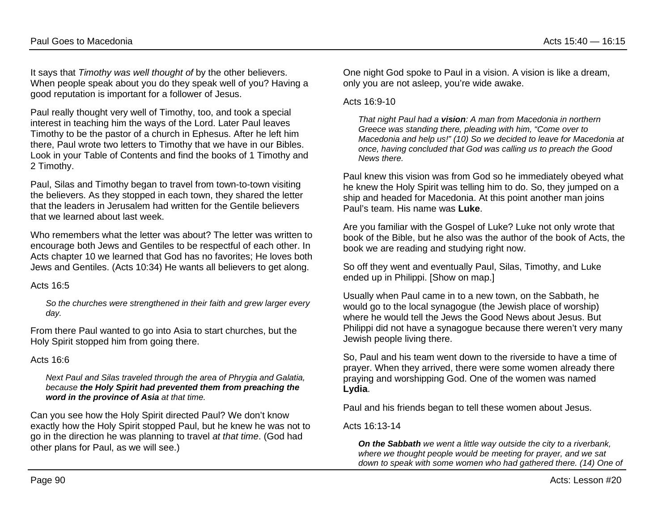It says that *Timothy was well thought of* by the other believers. When people speak about you do they speak well of you? Having a good reputation is important for a follower of Jesus.

Paul really thought very well of Timothy, too, and took a special interest in teaching him the ways of the Lord. Later Paul leaves Timothy to be the pastor of a church in Ephesus. After he left him there, Paul wrote two letters to Timothy that we have in our Bibles. Look in your Table of Contents and find the books of 1 Timothy and 2 Timothy.

Paul, Silas and Timothy began to travel from town-to-town visiting the believers. As they stopped in each town, they shared the letter that the leaders in Jerusalem had written for the Gentile believers that we learned about last week.

Who remembers what the letter was about? The letter was written to encourage both Jews and Gentiles to be respectful of each other. In Acts chapter 10 we learned that God has no favorites; He loves both Jews and Gentiles. (Acts 10:34) He wants all believers to get along.

Acts 16:5

*So the churches were strengthened in their faith and grew larger every day.*

From there Paul wanted to go into Asia to start churches, but the Holy Spirit stopped him from going there.

#### Acts 16:6

*Next Paul and Silas traveled through the area of Phrygia and Galatia, because the Holy Spirit had prevented them from preaching the word in the province of Asia at that time.*

Can you see how the Holy Spirit directed Paul? We don't know exactly how the Holy Spirit stopped Paul, but he knew he was not to go in the direction he was planning to travel *at that time*. (God had other plans for Paul, as we will see.)

One night God spoke to Paul in a vision. A vision is like a dream, only you are not asleep, you're wide awake.

#### Acts 16:9-10

*That night Paul had a vision: A man from Macedonia in northern Greece was standing there, pleading with him, "Come over to Macedonia and help us!" (10) So we decided to leave for Macedonia at once, having concluded that God was calling us to preach the Good News there.*

Paul knew this vision was from God so he immediately obeyed what he knew the Holy Spirit was telling him to do. So, they jumped on a ship and headed for Macedonia. At this point another man joins Paul's team. His name was **Luke**.

Are you familiar with the Gospel of Luke? Luke not only wrote that book of the Bible, but he also was the author of the book of Acts, the book we are reading and studying right now.

So off they went and eventually Paul, Silas, Timothy, and Luke ended up in Philippi. [Show on map.]

Usually when Paul came in to a new town, on the Sabbath, he would go to the local synagogue (the Jewish place of worship) where he would tell the Jews the Good News about Jesus. But Philippi did not have a synagogue because there weren't very many Jewish people living there.

So, Paul and his team went down to the riverside to have a time of prayer. When they arrived, there were some women already there praying and worshipping God. One of the women was named **Lydia**.

Paul and his friends began to tell these women about Jesus.

Acts 16:13-14

*On the Sabbath we went a little way outside the city to a riverbank, where we thought people would be meeting for prayer, and we sat down to speak with some women who had gathered there. (14) One of*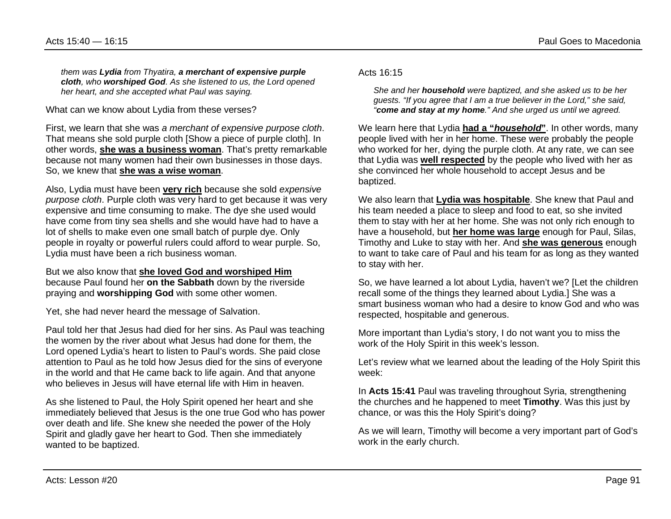*them was Lydia from Thyatira, a merchant of expensive purple cloth, who worshiped God. As she listened to us, the Lord opened her heart, and she accepted what Paul was saying.*

What can we know about Lydia from these verses?

First, we learn that she was *a merchant of expensive purpose cloth*. That means she sold purple cloth [Show a piece of purple cloth]. In other words, **she was a business woman**. That's pretty remarkable because not many women had their own businesses in those days. So, we knew that **she was a wise woman**.

Also, Lydia must have been **very rich** because she sold *expensive purpose cloth*. Purple cloth was very hard to get because it was very expensive and time consuming to make. The dye she used would have come from tiny sea shells and she would have had to have a lot of shells to make even one small batch of purple dye. Only people in royalty or powerful rulers could afford to wear purple. So, Lydia must have been a rich business woman.

But we also know that **she loved God and worshiped Him** because Paul found her **on the Sabbath** down by the riverside praying and **worshipping God** with some other women.

Yet, she had never heard the message of Salvation.

Paul told her that Jesus had died for her sins. As Paul was teaching the women by the river about what Jesus had done for them, the Lord opened Lydia's heart to listen to Paul's words. She paid close attention to Paul as he told how Jesus died for the sins of everyone in the world and that He came back to life again. And that anyone who believes in Jesus will have eternal life with Him in heaven.

As she listened to Paul, the Holy Spirit opened her heart and she immediately believed that Jesus is the one true God who has power over death and life. She knew she needed the power of the Holy Spirit and gladly gave her heart to God. Then she immediately wanted to be baptized.

Acts 16:15

*She and her household were baptized, and she asked us to be her guests. "If you agree that I am a true believer in the Lord," she said, "come and stay at my home." And she urged us until we agreed.*

We learn here that Lydia **had a "***household***"**. In other words, many people lived with her in her home. These were probably the people who worked for her, dying the purple cloth. At any rate, we can see that Lydia was **well respected** by the people who lived with her as she convinced her whole household to accept Jesus and be baptized.

We also learn that **Lydia was hospitable**. She knew that Paul and his team needed a place to sleep and food to eat, so she invited them to stay with her at her home. She was not only rich enough to have a household, but **her home was large** enough for Paul, Silas, Timothy and Luke to stay with her. And **she was generous** enough to want to take care of Paul and his team for as long as they wanted to stay with her.

So, we have learned a lot about Lydia, haven't we? [Let the children recall some of the things they learned about Lydia.] She was a smart business woman who had a desire to know God and who was respected, hospitable and generous.

More important than Lydia's story, I do not want you to miss the work of the Holy Spirit in this week's lesson.

Let's review what we learned about the leading of the Holy Spirit this week:

In **Acts 15:41** Paul was traveling throughout Syria, strengthening the churches and he happened to meet **Timothy**. Was this just by chance, or was this the Holy Spirit's doing?

As we will learn, Timothy will become a very important part of God's work in the early church.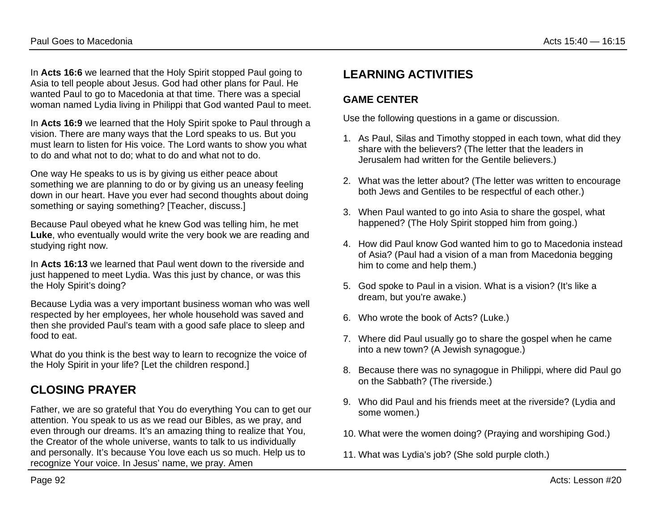In **Acts 16:6** we learned that the Holy Spirit stopped Paul going to Asia to tell people about Jesus. God had other plans for Paul. He wanted Paul to go to Macedonia at that time. There was a special woman named Lydia living in Philippi that God wanted Paul to meet.

In **Acts 16:9** we learned that the Holy Spirit spoke to Paul through a vision. There are many ways that the Lord speaks to us. But you must learn to listen for His voice. The Lord wants to show you what to do and what not to do; what to do and what not to do.

One way He speaks to us is by giving us either peace about something we are planning to do or by giving us an uneasy feeling down in our heart. Have you ever had second thoughts about doing something or saying something? [Teacher, discuss.]

Because Paul obeyed what he knew God was telling him, he met **Luke**, who eventually would write the very book we are reading and studying right now.

In **Acts 16:13** we learned that Paul went down to the riverside and just happened to meet Lydia. Was this just by chance, or was this the Holy Spirit's doing?

Because Lydia was a very important business woman who was well respected by her employees, her whole household was saved and then she provided Paul's team with a good safe place to sleep and food to eat.

What do you think is the best way to learn to recognize the voice of the Holy Spirit in your life? [Let the children respond.]

## **CLOSING PRAYER**

Father, we are so grateful that You do everything You can to get our attention. You speak to us as we read our Bibles, as we pray, and even through our dreams. It's an amazing thing to realize that You, the Creator of the whole universe, wants to talk to us individually and personally. It's because You love each us so much. Help us to recognize Your voice. In Jesus' name, we pray. Amen

## **LEARNING ACTIVITIES**

### **GAME CENTER**

Use the following questions in a game or discussion.

- 1. As Paul, Silas and Timothy stopped in each town, what did they share with the believers? (The letter that the leaders in Jerusalem had written for the Gentile believers.)
- 2. What was the letter about? (The letter was written to encourage both Jews and Gentiles to be respectful of each other.)
- 3. When Paul wanted to go into Asia to share the gospel, what happened? (The Holy Spirit stopped him from going.)
- 4. How did Paul know God wanted him to go to Macedonia instead of Asia? (Paul had a vision of a man from Macedonia begging him to come and help them.)
- 5. God spoke to Paul in a vision. What is a vision? (It's like a dream, but you're awake.)
- 6. Who wrote the book of Acts? (Luke.)
- 7. Where did Paul usually go to share the gospel when he came into a new town? (A Jewish synagogue.)
- 8. Because there was no synagogue in Philippi, where did Paul go on the Sabbath? (The riverside.)
- 9. Who did Paul and his friends meet at the riverside? (Lydia and some women.)
- 10. What were the women doing? (Praying and worshiping God.)
- 11. What was Lydia's job? (She sold purple cloth.)